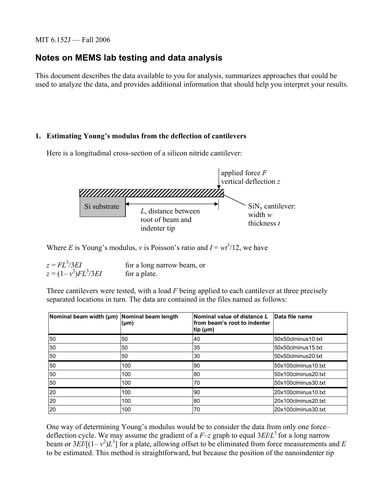## MIT 6.152J — Fall 2006

# **Notes on MEMS lab testing and data analysis**

This document describes the data available to you for analysis, summarizes approaches that could be used to analyze the data, and provides additional information that should help you interpret your results.

## **1. Estimating Young's modulus from the deflection of cantilevers**

Here is a longitudinal cross-section of a silicon nitride cantilever:



Where *E* is Young's modulus, *v* is Poisson's ratio and  $I = wt^3/12$ , we have

 $z = FL^3/3EI$ for a long narrow beam, or  $z = (1 - v^2)FL^3$ for a plate.

Three cantilevers were tested, with a load *F* being applied to each cantilever at three precisely separated locations in turn. The data are contained in the files named as follows:

| Nominal beam width (µm) Nominal beam length | $(\mu m)$ | Nominal value of distance L<br>lfrom beam's root to indenter<br>tip ( $\mu$ m) | Data file name      |
|---------------------------------------------|-----------|--------------------------------------------------------------------------------|---------------------|
| 50                                          | 50        | 40                                                                             | 50x50clminus10.txt  |
| 50                                          | 50        | 35                                                                             | 50x50clminus15.txt  |
| 50                                          | 50        | 30                                                                             | 50x50clminus20.txt  |
| 50                                          | 100       | 90                                                                             | 50x100clminus10.txt |
| 50                                          | 100       | 80                                                                             | 50x100clminus20.txt |
| 50                                          | 100       | 70                                                                             | 50x100clminus30.txt |
| 20                                          | 100       | 90                                                                             | 20x100clminus10.txt |
| 20                                          | 100       | 80                                                                             | 20x100clminus20.txt |
| 20                                          | 100       | 70                                                                             | 20x100clminus30.txt |

One way of determining Young's modulus would be to consider the data from only one force– deflection cycle. We may assume the gradient of a  $F$ –*z* graph to equal  $3EI/L^3$  for a long narrow beam or  $3EI/[(1-v^2)L^3]$  for a plate, allowing offset to be eliminated from force measurements and *E* to be estimated. This method is straightforward, but because the position of the nanoindenter tip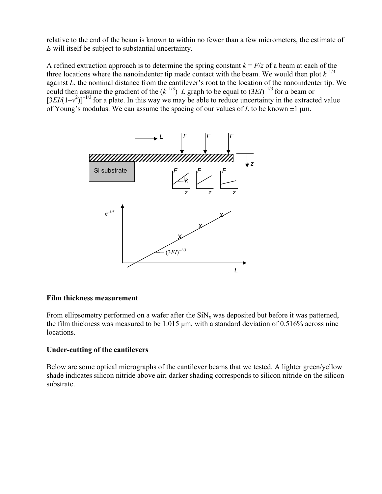relative to the end of the beam is known to within no fewer than a few micrometers, the estimate of *E* will itself be subject to substantial uncertainty.

A refined extraction approach is to determine the spring constant  $k = F/z$  of a beam at each of the three locations where the nanoindenter tip made contact with the beam. We would then plot  $k^{-1/3}$ against *L*, the nominal distance from the cantilever's root to the location of the nanoindenter tip. We could then assume the gradient of the  $(k^{-1/3})-L$  graph to be equal to  $(3EI)^{-1/3}$  for a beam or  $[3EI/(1-v^2)]^{-1/3}$  for a plate. In this way we may be able to reduce uncertainty in the extracted value of Young's modulus. We can assume the spacing of our values of *L* to be known  $\pm 1$  μm.



## **Film thickness measurement**

From ellipsometry performed on a wafer after the  $\text{SiN}_x$  was deposited but before it was patterned, the film thickness was measured to be 1.015 μm, with a standard deviation of 0.516% across nine locations.

## **Under-cutting of the cantilevers**

Below are some optical micrographs of the cantilever beams that we tested. A lighter green/yellow shade indicates silicon nitride above air; darker shading corresponds to silicon nitride on the silicon substrate.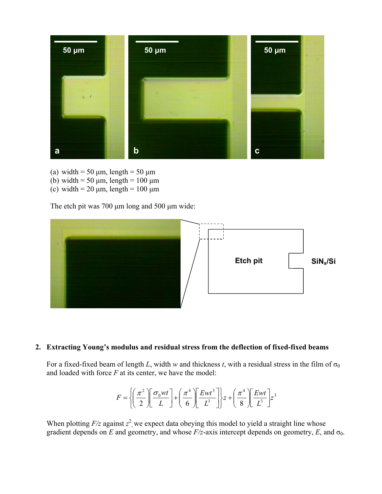

- (a) width =  $50 \mu m$ , length =  $50 \mu m$
- (b) width = 50  $\mu$ m, length = 100  $\mu$ m
- (c) width =  $20 \mu m$ , length =  $100 \mu m$

The etch pit was 700 μm long and 500 μm wide:



## **2. Extracting Young's modulus and residual stress from the deflection of fixed-fixed beams**

For a fixed-fixed beam of length *L*, width *w* and thickness *t*, with a residual stress in the film of  $\sigma_0$ and loaded with force *F* at its center, we have the model:

$$
F = \left\{ \left( \frac{\pi^2}{2} \right) \left[ \frac{\sigma_0 wt}{L} \right] + \left( \frac{\pi^4}{6} \right) \left[ \frac{Ewt^3}{L^3} \right] \right\} z + \left( \frac{\pi^4}{8} \right) \left[ \frac{Ewt}{L^3} \right] z^3
$$

When plotting  $F/z$  against  $z^2$ , we expect data obeying this model to yield a straight line whose gradient depends on *E* and geometry, and whose  $F/z$ -axis intercept depends on geometry, *E*, and  $\sigma_0$ .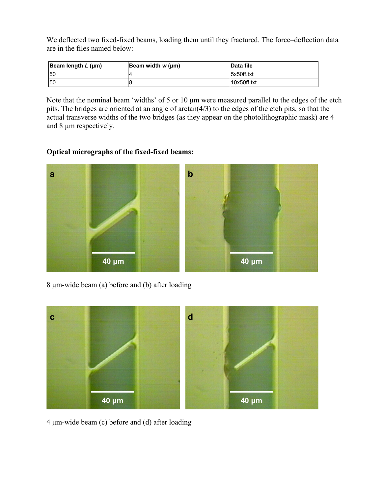We deflected two fixed-fixed beams, loading them until they fractured. The force–deflection data are in the files named below:

| Beam length $L$ (µm) | Beam width w (um) | <b>Data file</b> |
|----------------------|-------------------|------------------|
| 50                   |                   | Isx50ff.txt      |
| 50                   |                   | 10x50ff.txt      |

Note that the nominal beam 'widths' of 5 or 10 μm were measured parallel to the edges of the etch pits. The bridges are oriented at an angle of arctan(4/3) to the edges of the etch pits, so that the actual transverse widths of the two bridges (as they appear on the photolithographic mask) are 4 and 8 μm respectively.

## **Optical micrographs of the fixed-fixed beams:**



8 μm-wide beam (a) before and (b) after loading



4 μm-wide beam (c) before and (d) after loading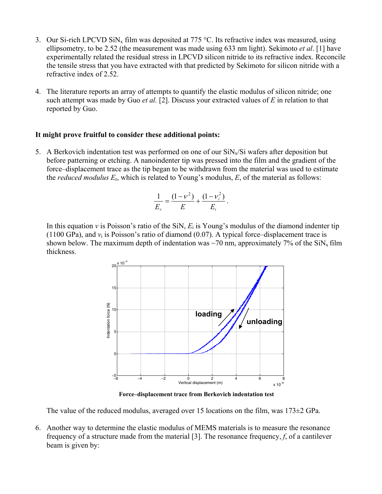- 3. Our Si-rich LPCVD SiN<sub>x</sub> film was deposited at 775 °C. Its refractive index was measured, using ellipsometry, to be 2.52 (the measurement was made using 633 nm light). Sekimoto *et al*. [1] have experimentally related the residual stress in LPCVD silicon nitride to its refractive index. Reconcile the tensile stress that you have extracted with that predicted by Sekimoto for silicon nitride with a refractive index of 2.52.
- 4. The literature reports an array of attempts to quantify the elastic modulus of silicon nitride; one such attempt was made by Guo *et al.* [2]. Discuss your extracted values of *E* in relation to that reported by Guo.

## **It might prove fruitful to consider these additional points:**

5. A Berkovich indentation test was performed on one of our  $\text{SiN}_x/\text{Si}$  wafers after deposition but before patterning or etching. A nanoindenter tip was pressed into the film and the gradient of the force–displacement trace as the tip began to be withdrawn from the material was used to estimate the *reduced modulus E*r, which is related to Young's modulus, *E*, of the material as follows:

$$
\frac{1}{E_r} = \frac{(1 - v^2)}{E} + \frac{(1 - v_i^2)}{E_i}.
$$

In this equation *v* is Poisson's ratio of the SiN,  $E_i$  is Young's modulus of the diamond indenter tip (1100 GPa), and  $v_i$  is Poisson's ratio of diamond (0.07). A typical force–displacement trace is shown below. The maximum depth of indentation was  $\sim$ 70 nm, approximately 7% of the SiN<sub>x</sub> film thickness.



**Force–displacement trace from Berkovich indentation test** 

The value of the reduced modulus, averaged over 15 locations on the film, was 173±2 GPa.

6. Another way to determine the elastic modulus of MEMS materials is to measure the resonance frequency of a structure made from the material [3]. The resonance frequency, *f*, of a cantilever beam is given by: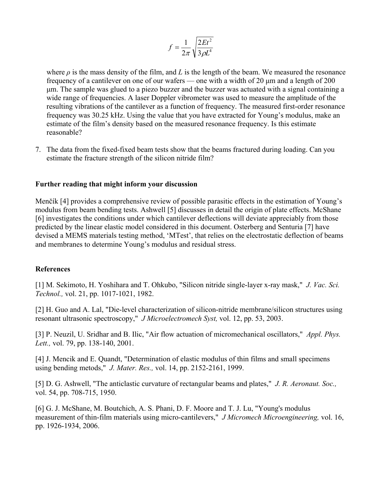$$
f = \frac{1}{2\pi} \sqrt{\frac{2Et^2}{3\rho L^4}}
$$

where  $\rho$  is the mass density of the film, and *L* is the length of the beam. We measured the resonance frequency of a cantilever on one of our wafers — one with a width of 20 μm and a length of 200 μm. The sample was glued to a piezo buzzer and the buzzer was actuated with a signal containing a wide range of frequencies. A laser Doppler vibrometer was used to measure the amplitude of the resulting vibrations of the cantilever as a function of frequency. The measured first-order resonance frequency was 30.25 kHz. Using the value that you have extracted for Young's modulus, make an estimate of the film's density based on the measured resonance frequency. Is this estimate reasonable?

7. The data from the fixed-fixed beam tests show that the beams fractured during loading. Can you estimate the fracture strength of the silicon nitride film?

#### **Further reading that might inform your discussion**

Menčík [4] provides a comprehensive review of possible parasitic effects in the estimation of Young's modulus from beam bending tests. Ashwell [5] discusses in detail the origin of plate effects. McShane [6] investigates the conditions under which cantilever deflections will deviate appreciably from those predicted by the linear elastic model considered in this document. Osterberg and Senturia [7] have devised a MEMS materials testing method, 'MTest', that relies on the electrostatic deflection of beams and membranes to determine Young's modulus and residual stress.

#### **References**

[1] M. Sekimoto, H. Yoshihara and T. Ohkubo, "Silicon nitride single-layer x-ray mask," *J. Vac. Sci. Technol.,* vol. 21, pp. 1017-1021, 1982.

[2] H. Guo and A. Lal, "Die-level characterization of silicon-nitride membrane/silicon structures using resonant ultrasonic spectroscopy," *J Microelectromech Syst,* vol. 12, pp. 53, 2003.

[3] P. Neuzil, U. Sridhar and B. Ilic, "Air flow actuation of micromechanical oscillators," *Appl. Phys. Lett.,* vol. 79, pp. 138-140, 2001.

[4] J. Mencik and E. Quandt, "Determination of elastic modulus of thin films and small specimens using bending metods," *J. Mater. Res.,* vol. 14, pp. 2152-2161, 1999.

[5] D. G. Ashwell, "The anticlastic curvature of rectangular beams and plates," *J. R. Aeronaut. Soc.,*  vol. 54, pp. 708-715, 1950.

[6] G. J. McShane, M. Boutchich, A. S. Phani, D. F. Moore and T. J. Lu, "Young's modulus measurement of thin-film materials using micro-cantilevers," *J Micromech Microengineering,* vol. 16, pp. 1926-1934, 2006.